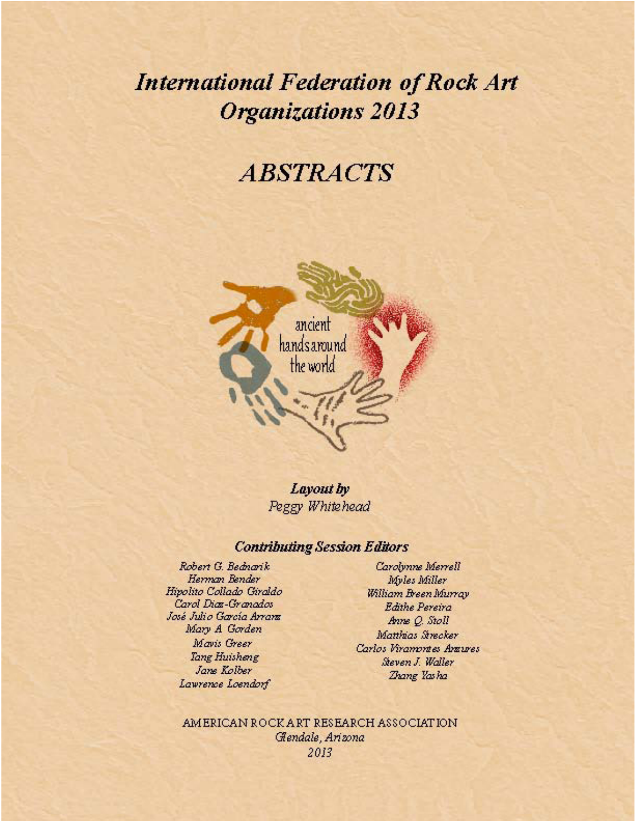# **International Federation of Rock Art Organizations 2013**

# **ABSTRACTS**



Layout by Peggy Whitehead

# **Contributing Session Editors**

Robert G. Bednarik Herman Bender Hipolito Collado Giraldo Carol Diaz-Granados José Julio García Arrara Mary A Gorden Mavis Greer Tang Huisheng Jane Kolber Lawrence Loendorf

Carolynne Merrell Myles Miller William Breen Murray Edithe Pereira Anne Q. Stoll Matthias Strecker Carlos Viramontes Antures Steven J. Waller Zhang Yasha

AMERICAN ROCK ART RESEARCH ASSOCIATION Gendale, Arizona *IFRAO 2013 Albuquerque, New Mexico, USA*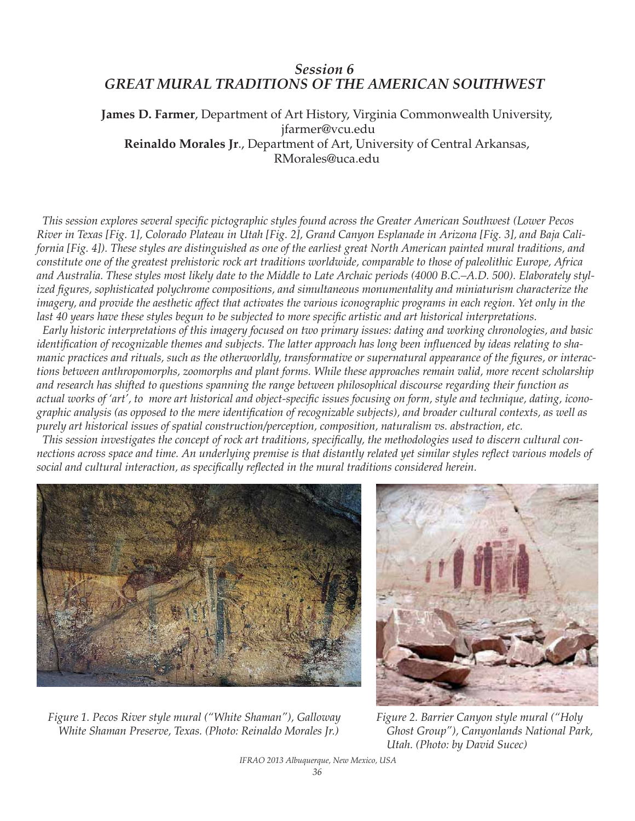# *Session 6 GREAT MURAL TRADITIONS OF THE AMERICAN SOUTHWEST*

**James D. Farmer**, Department of Art History, Virginia Commonwealth University, jfarmer@vcu.edu **Reinaldo Morales Jr**., Department of Art, University of Central Arkansas, RMorales@uca.edu

 *This session explores several specific pictographic styles found across the Greater American Southwest (Lower Pecos River in Texas [Fig. 1], Colorado Plateau in Utah [Fig. 2], Grand Canyon Esplanade in Arizona [Fig. 3], and Baja California [Fig. 4]). These styles are distinguished as one of the earliest great North American painted mural traditions, and constitute one of the greatest prehistoric rock art traditions worldwide, comparable to those of paleolithic Europe, Africa and Australia. These styles most likely date to the Middle to Late Archaic periods (4000 B.C.–A.D. 500). Elaborately stylized figures, sophisticated polychrome compositions, and simultaneous monumentality and miniaturism characterize the imagery, and provide the aesthetic affect that activates the various iconographic programs in each region. Yet only in the last 40 years have these styles begun to be subjected to more specific artistic and art historical interpretations.*

 *Early historic interpretations of this imagery focused on two primary issues: dating and working chronologies, and basic identification of recognizable themes and subjects. The latter approach has long been influenced by ideas relating to shamanic practices and rituals, such as the otherworldly, transformative or supernatural appearance of the figures, or interactions between anthropomorphs, zoomorphs and plant forms. While these approaches remain valid, more recent scholarship and research has shifted to questions spanning the range between philosophical discourse regarding their function as actual works of 'art', to more art historical and object-specific issues focusing on form, style and technique, dating, iconographic analysis (as opposed to the mere identification of recognizable subjects), and broader cultural contexts, as well as purely art historical issues of spatial construction/perception, composition, naturalism vs. abstraction, etc.* 

 *This session investigates the concept of rock art traditions, specifically, the methodologies used to discern cultural connections across space and time. An underlying premise is that distantly related yet similar styles reflect various models of social and cultural interaction, as specifically reflected in the mural traditions considered herein.*



*Figure 1. Pecos River style mural ("White Shaman"), Galloway White Shaman Preserve, Texas. (Photo: Reinaldo Morales Jr.)*



*Figure 2. Barrier Canyon style mural ("Holy Ghost Group"), Canyonlands National Park, Utah. (Photo: by David Sucec)*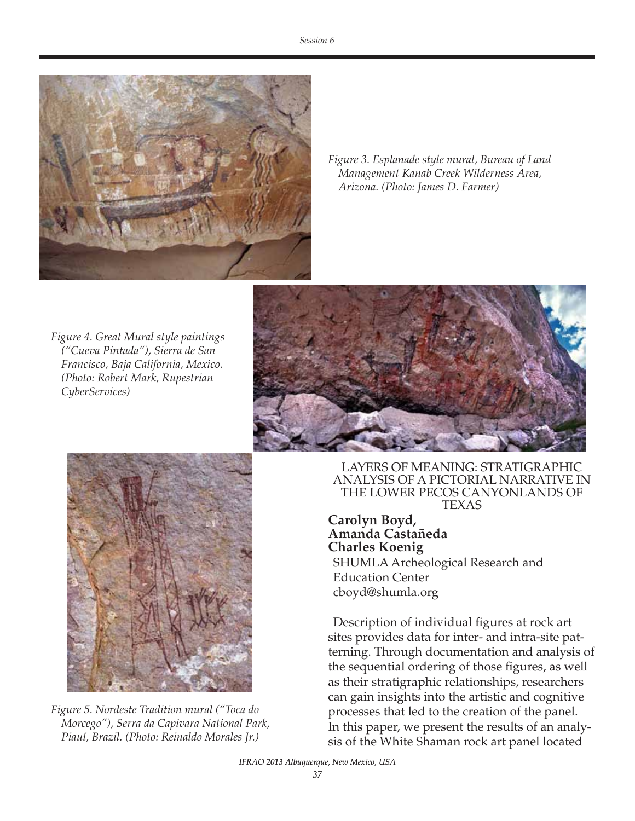

*Figure 3. Esplanade style mural, Bureau of Land Management Kanab Creek Wilderness Area, Arizona. (Photo: James D. Farmer)*

*Figure 4. Great Mural style paintings ("Cueva Pintada"), Sierra de San Francisco, Baja California, Mexico. (Photo: Robert Mark, Rupestrian CyberServices)*





*Figure 5. Nordeste Tradition mural ("Toca do Morcego"), Serra da Capivara National Park, Piauí, Brazil. (Photo: Reinaldo Morales Jr.)*

LAYERS OF MEANING: STRATIGRAPHIC ANALYSIS OF A PICTORIAL NARRATIVE IN THE LOWER PECOS CANYONLANDS OF TEXAS

**Carolyn Boyd, Amanda Castañeda Charles Koenig** SHUMLA Archeological Research and Education Center cboyd@shumla.org

Description of individual figures at rock art sites provides data for inter- and intra-site patterning. Through documentation and analysis of the sequential ordering of those figures, as well as their stratigraphic relationships, researchers can gain insights into the artistic and cognitive processes that led to the creation of the panel. In this paper, we present the results of an analysis of the White Shaman rock art panel located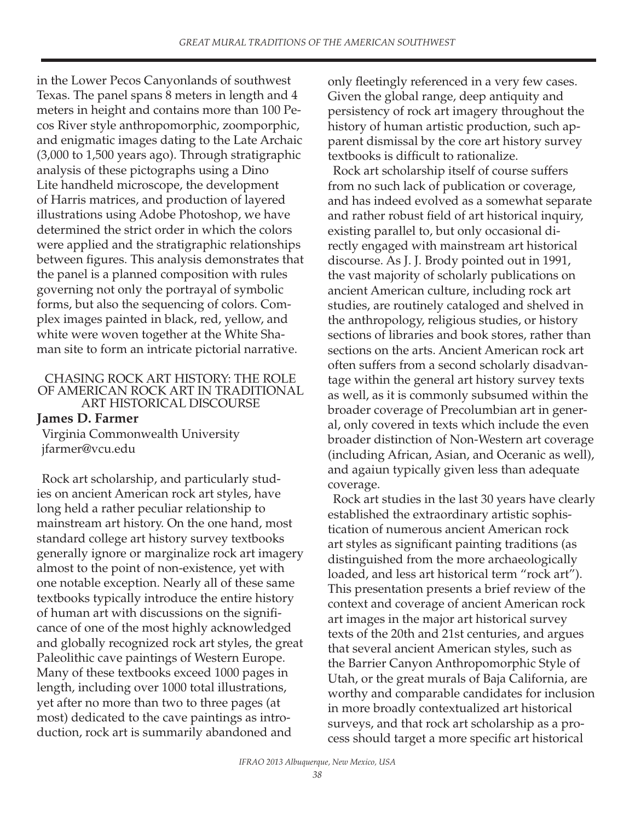in the Lower Pecos Canyonlands of southwest Texas. The panel spans 8 meters in length and 4 meters in height and contains more than 100 Pecos River style anthropomorphic, zoomporphic, and enigmatic images dating to the Late Archaic (3,000 to 1,500 years ago). Through stratigraphic analysis of these pictographs using a Dino Lite handheld microscope, the development of Harris matrices, and production of layered illustrations using Adobe Photoshop, we have determined the strict order in which the colors were applied and the stratigraphic relationships between figures. This analysis demonstrates that the panel is a planned composition with rules governing not only the portrayal of symbolic forms, but also the sequencing of colors. Complex images painted in black, red, yellow, and white were woven together at the White Shaman site to form an intricate pictorial narrative.

#### CHASING ROCK ART HISTORY: THE ROLE OF AMERICAN ROCK ART IN TRADITIONAL ART HISTORICAL DISCOURSE

# **James D. Farmer**

Virginia Commonwealth University jfarmer@vcu.edu

Rock art scholarship, and particularly studies on ancient American rock art styles, have long held a rather peculiar relationship to mainstream art history. On the one hand, most standard college art history survey textbooks generally ignore or marginalize rock art imagery almost to the point of non-existence, yet with one notable exception. Nearly all of these same textbooks typically introduce the entire history of human art with discussions on the significance of one of the most highly acknowledged and globally recognized rock art styles, the great Paleolithic cave paintings of Western Europe. Many of these textbooks exceed 1000 pages in length, including over 1000 total illustrations, yet after no more than two to three pages (at most) dedicated to the cave paintings as introduction, rock art is summarily abandoned and

only fleetingly referenced in a very few cases. Given the global range, deep antiquity and persistency of rock art imagery throughout the history of human artistic production, such apparent dismissal by the core art history survey textbooks is difficult to rationalize.

Rock art scholarship itself of course suffers from no such lack of publication or coverage, and has indeed evolved as a somewhat separate and rather robust field of art historical inquiry, existing parallel to, but only occasional directly engaged with mainstream art historical discourse. As J. J. Brody pointed out in 1991, the vast majority of scholarly publications on ancient American culture, including rock art studies, are routinely cataloged and shelved in the anthropology, religious studies, or history sections of libraries and book stores, rather than sections on the arts. Ancient American rock art often suffers from a second scholarly disadvantage within the general art history survey texts as well, as it is commonly subsumed within the broader coverage of Precolumbian art in general, only covered in texts which include the even broader distinction of Non-Western art coverage (including African, Asian, and Oceranic as well), and agaiun typically given less than adequate coverage.

Rock art studies in the last 30 years have clearly established the extraordinary artistic sophistication of numerous ancient American rock art styles as significant painting traditions (as distinguished from the more archaeologically loaded, and less art historical term "rock art"). This presentation presents a brief review of the context and coverage of ancient American rock art images in the major art historical survey texts of the 20th and 21st centuries, and argues that several ancient American styles, such as the Barrier Canyon Anthropomorphic Style of Utah, or the great murals of Baja California, are worthy and comparable candidates for inclusion in more broadly contextualized art historical surveys, and that rock art scholarship as a process should target a more specific art historical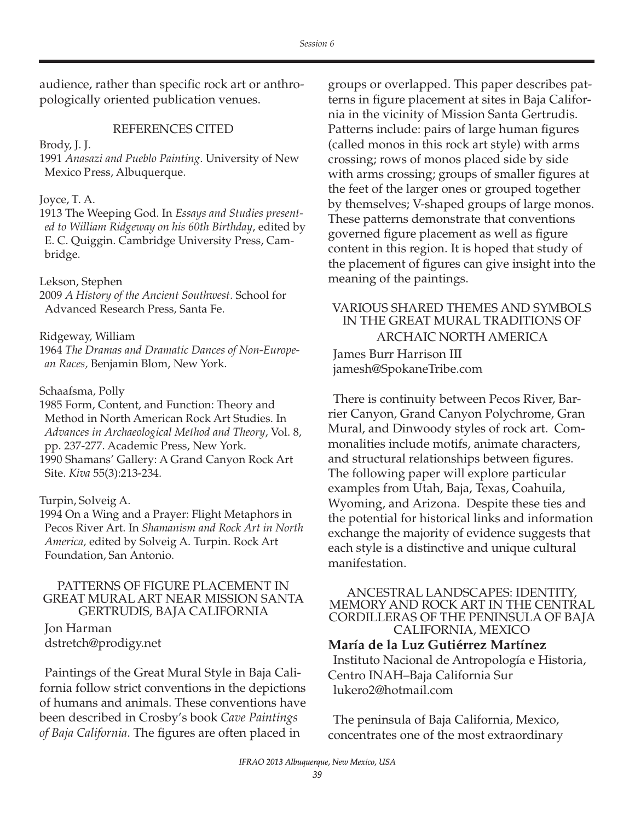audience, rather than specific rock art or anthropologically oriented publication venues.

### REFERENCES CITED

Brody, J. J.

1991 *Anasazi and Pueblo Painting*. University of New Mexico Press, Albuquerque.

#### Joyce, T. A.

1913 The Weeping God. In *Essays and Studies presented to William Ridgeway on his 60th Birthday*, edited by E. C. Quiggin. Cambridge University Press, Cambridge.

#### Lekson, Stephen

2009 *A History of the Ancient Southwest*. School for Advanced Research Press, Santa Fe.

#### Ridgeway, William

1964 *The Dramas and Dramatic Dances of Non-European Races,* Benjamin Blom, New York.

#### Schaafsma, Polly

1985 Form, Content, and Function: Theory and Method in North American Rock Art Studies. In *Advances in Archaeological Method and Theory*, Vol. 8, pp. 237-277. Academic Press, New York. 1990 Shamans' Gallery: A Grand Canyon Rock Art Site. *Kiva* 55(3):213-234.

#### Turpin, Solveig A.

1994 On a Wing and a Prayer: Flight Metaphors in Pecos River Art. In *Shamanism and Rock Art in North America,* edited by Solveig A. Turpin. Rock Art Foundation, San Antonio.

# PATTERNS OF FIGURE PLACEMENT IN GREAT MURAL ART NEAR MISSION SANTA GERTRUDIS, BAJA CALIFORNIA

Jon Harman dstretch@prodigy.net

Paintings of the Great Mural Style in Baja California follow strict conventions in the depictions of humans and animals. These conventions have been described in Crosby's book *Cave Paintings of Baja California*. The figures are often placed in

groups or overlapped. This paper describes patterns in figure placement at sites in Baja California in the vicinity of Mission Santa Gertrudis. Patterns include: pairs of large human figures (called monos in this rock art style) with arms crossing; rows of monos placed side by side with arms crossing; groups of smaller figures at the feet of the larger ones or grouped together by themselves; V-shaped groups of large monos. These patterns demonstrate that conventions governed figure placement as well as figure content in this region. It is hoped that study of the placement of figures can give insight into the meaning of the paintings.

# VARIOUS SHARED THEMES AND SYMBOLS IN THE GREAT MURAL TRADITIONS OF ARCHAIC NORTH AMERICA James Burr Harrison III jamesh@SpokaneTribe.com

There is continuity between Pecos River, Barrier Canyon, Grand Canyon Polychrome, Gran Mural, and Dinwoody styles of rock art. Commonalities include motifs, animate characters, and structural relationships between figures. The following paper will explore particular examples from Utah, Baja, Texas, Coahuila, Wyoming, and Arizona. Despite these ties and the potential for historical links and information exchange the majority of evidence suggests that each style is a distinctive and unique cultural manifestation.

#### ANCESTRAL LANDSCAPES: IDENTITY, MEMORY AND ROCK ART IN THE CENTRAL CORDILLERAS OF THE PENINSULA OF BAJA CALIFORNIA, MEXICO

## **María de la Luz Gutiérrez Martínez**

Instituto Nacional de Antropología e Historia, Centro INAH–Baja California Sur lukero2@hotmail.com

The peninsula of Baja California, Mexico, concentrates one of the most extraordinary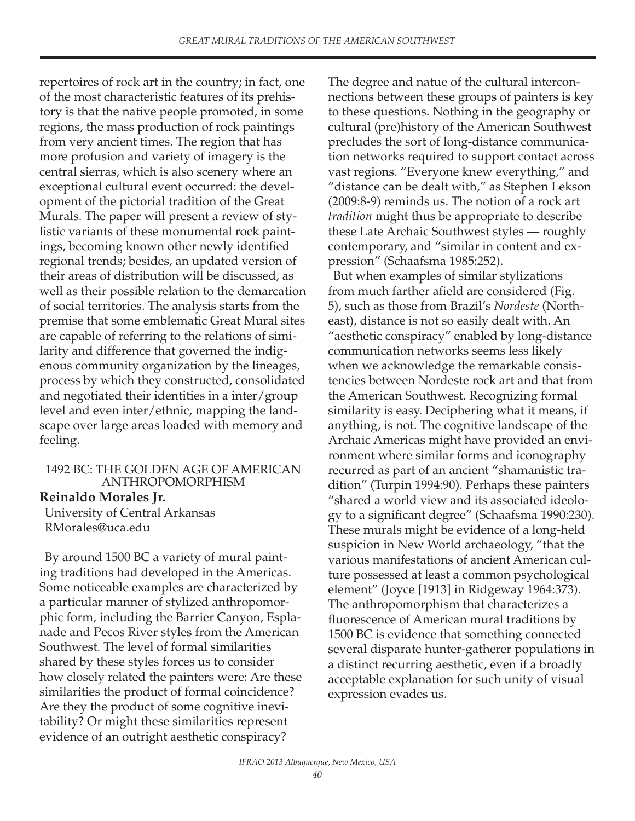repertoires of rock art in the country; in fact, one of the most characteristic features of its prehistory is that the native people promoted, in some regions, the mass production of rock paintings from very ancient times. The region that has more profusion and variety of imagery is the central sierras, which is also scenery where an exceptional cultural event occurred: the development of the pictorial tradition of the Great Murals. The paper will present a review of stylistic variants of these monumental rock paintings, becoming known other newly identified regional trends; besides, an updated version of their areas of distribution will be discussed, as well as their possible relation to the demarcation of social territories. The analysis starts from the premise that some emblematic Great Mural sites are capable of referring to the relations of similarity and difference that governed the indigenous community organization by the lineages, process by which they constructed, consolidated and negotiated their identities in a inter/group level and even inter/ethnic, mapping the landscape over large areas loaded with memory and feeling.

## 1492 BC: THE GOLDEN AGE OF AMERICAN ANTHROPOMORPHISM

## **Reinaldo Morales Jr.**

University of Central Arkansas RMorales@uca.edu

By around 1500 BC a variety of mural painting traditions had developed in the Americas. Some noticeable examples are characterized by a particular manner of stylized anthropomorphic form, including the Barrier Canyon, Esplanade and Pecos River styles from the American Southwest. The level of formal similarities shared by these styles forces us to consider how closely related the painters were: Are these similarities the product of formal coincidence? Are they the product of some cognitive inevitability? Or might these similarities represent evidence of an outright aesthetic conspiracy?

The degree and natue of the cultural interconnections between these groups of painters is key to these questions. Nothing in the geography or cultural (pre)history of the American Southwest precludes the sort of long-distance communication networks required to support contact across vast regions. "Everyone knew everything," and "distance can be dealt with," as Stephen Lekson (2009:8-9) reminds us. The notion of a rock art *tradition* might thus be appropriate to describe these Late Archaic Southwest styles — roughly contemporary, and "similar in content and expression" (Schaafsma 1985:252).

But when examples of similar stylizations from much farther afield are considered (Fig. 5), such as those from Brazil's *Nordeste* (Northeast), distance is not so easily dealt with. An "aesthetic conspiracy" enabled by long-distance communication networks seems less likely when we acknowledge the remarkable consistencies between Nordeste rock art and that from the American Southwest. Recognizing formal similarity is easy. Deciphering what it means, if anything, is not. The cognitive landscape of the Archaic Americas might have provided an environment where similar forms and iconography recurred as part of an ancient "shamanistic tradition" (Turpin 1994:90). Perhaps these painters "shared a world view and its associated ideology to a significant degree" (Schaafsma 1990:230). These murals might be evidence of a long-held suspicion in New World archaeology, "that the various manifestations of ancient American culture possessed at least a common psychological element" (Joyce [1913] in Ridgeway 1964:373). The anthropomorphism that characterizes a fluorescence of American mural traditions by 1500 BC is evidence that something connected several disparate hunter-gatherer populations in a distinct recurring aesthetic, even if a broadly acceptable explanation for such unity of visual expression evades us.